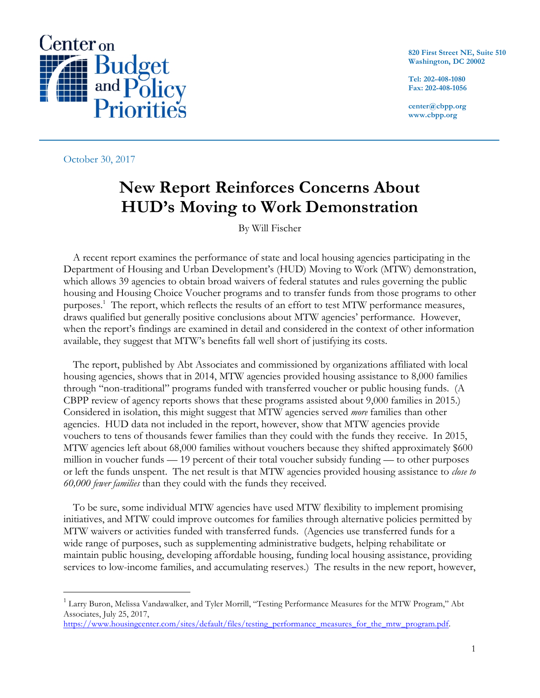

October 30, 2017

**820 First Street NE, Suite 510 Washington, DC 20002**

**Tel: 202-408-1080 Fax: 202-408-1056**

**center@cbpp.org www.cbpp.org**

# **New Report Reinforces Concerns About HUD's Moving to Work Demonstration**

By Will Fischer

A recent report examines the performance of state and local housing agencies participating in the Department of Housing and Urban Development's (HUD) Moving to Work (MTW) demonstration, which allows 39 agencies to obtain broad waivers of federal statutes and rules governing the public housing and Housing Choice Voucher programs and to transfer funds from those programs to other purposes.<sup>1</sup> The report, which reflects the results of an effort to test MTW performance measures, draws qualified but generally positive conclusions about MTW agencies' performance. However, when the report's findings are examined in detail and considered in the context of other information available, they suggest that MTW's benefits fall well short of justifying its costs.

The report, published by Abt Associates and commissioned by organizations affiliated with local housing agencies, shows that in 2014, MTW agencies provided housing assistance to 8,000 families through "non-traditional" programs funded with transferred voucher or public housing funds. (A CBPP review of agency reports shows that these programs assisted about 9,000 families in 2015.) Considered in isolation, this might suggest that MTW agencies served *more* families than other agencies. HUD data not included in the report, however, show that MTW agencies provide vouchers to tens of thousands fewer families than they could with the funds they receive. In 2015, MTW agencies left about 68,000 families without vouchers because they shifted approximately \$600 million in voucher funds — 19 percent of their total voucher subsidy funding — to other purposes or left the funds unspent. The net result is that MTW agencies provided housing assistance to *close to 60,000 fewer families* than they could with the funds they received.

To be sure, some individual MTW agencies have used MTW flexibility to implement promising initiatives, and MTW could improve outcomes for families through alternative policies permitted by MTW waivers or activities funded with transferred funds. (Agencies use transferred funds for a wide range of purposes, such as supplementing administrative budgets, helping rehabilitate or maintain public housing, developing affordable housing, funding local housing assistance, providing services to low-income families, and accumulating reserves.) The results in the new report, however,

 $1$  Larry Buron, Melissa Vandawalker, and Tyler Morrill, "Testing Performance Measures for the MTW Program," Abt Associates, July 25, 2017,

https://www.housingcenter.com/sites/default/files/testing\_performance\_measures\_for\_the\_mtw\_program.pdf.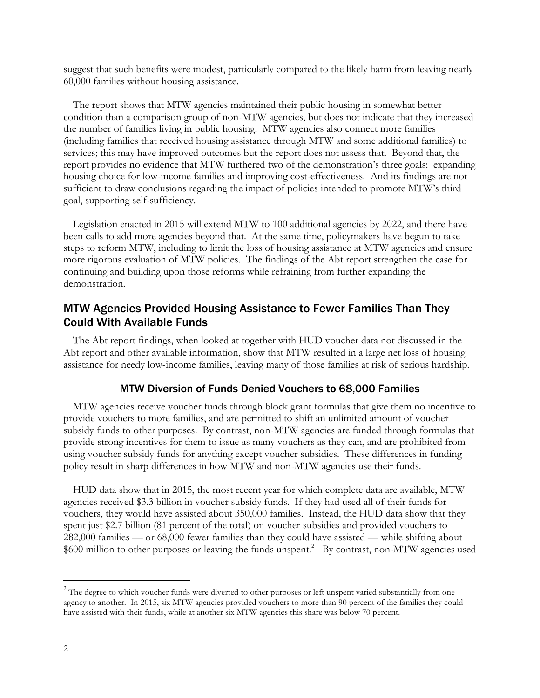suggest that such benefits were modest, particularly compared to the likely harm from leaving nearly 60,000 families without housing assistance.

The report shows that MTW agencies maintained their public housing in somewhat better condition than a comparison group of non-MTW agencies, but does not indicate that they increased the number of families living in public housing. MTW agencies also connect more families (including families that received housing assistance through MTW and some additional families) to services; this may have improved outcomes but the report does not assess that. Beyond that, the report provides no evidence that MTW furthered two of the demonstration's three goals: expanding housing choice for low-income families and improving cost-effectiveness. And its findings are not sufficient to draw conclusions regarding the impact of policies intended to promote MTW's third goal, supporting self-sufficiency.

Legislation enacted in 2015 will extend MTW to 100 additional agencies by 2022, and there have been calls to add more agencies beyond that. At the same time, policymakers have begun to take steps to reform MTW, including to limit the loss of housing assistance at MTW agencies and ensure more rigorous evaluation of MTW policies. The findings of the Abt report strengthen the case for continuing and building upon those reforms while refraining from further expanding the demonstration.

# MTW Agencies Provided Housing Assistance to Fewer Families Than They Could With Available Funds

The Abt report findings, when looked at together with HUD voucher data not discussed in the Abt report and other available information, show that MTW resulted in a large net loss of housing assistance for needy low-income families, leaving many of those families at risk of serious hardship.

#### MTW Diversion of Funds Denied Vouchers to 68,000 Families

MTW agencies receive voucher funds through block grant formulas that give them no incentive to provide vouchers to more families, and are permitted to shift an unlimited amount of voucher subsidy funds to other purposes. By contrast, non-MTW agencies are funded through formulas that provide strong incentives for them to issue as many vouchers as they can, and are prohibited from using voucher subsidy funds for anything except voucher subsidies. These differences in funding policy result in sharp differences in how MTW and non-MTW agencies use their funds.

HUD data show that in 2015, the most recent year for which complete data are available, MTW agencies received \$3.3 billion in voucher subsidy funds. If they had used all of their funds for vouchers, they would have assisted about 350,000 families. Instead, the HUD data show that they spent just \$2.7 billion (81 percent of the total) on voucher subsidies and provided vouchers to 282,000 families — or 68,000 fewer families than they could have assisted — while shifting about \$600 million to other purposes or leaving the funds unspent.<sup>2</sup> By contrast, non-MTW agencies used

 $2$  The degree to which voucher funds were diverted to other purposes or left unspent varied substantially from one agency to another. In 2015, six MTW agencies provided vouchers to more than 90 percent of the families they could have assisted with their funds, while at another six MTW agencies this share was below 70 percent.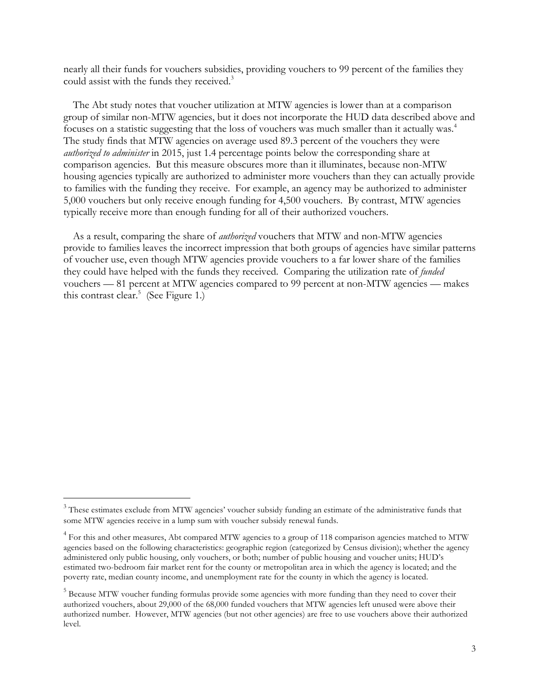nearly all their funds for vouchers subsidies, providing vouchers to 99 percent of the families they could assist with the funds they received.<sup>3</sup>

The Abt study notes that voucher utilization at MTW agencies is lower than at a comparison group of similar non-MTW agencies, but it does not incorporate the HUD data described above and focuses on a statistic suggesting that the loss of vouchers was much smaller than it actually was.<sup>4</sup> The study finds that MTW agencies on average used 89.3 percent of the vouchers they were *authorized to administer* in 2015, just 1.4 percentage points below the corresponding share at comparison agencies. But this measure obscures more than it illuminates, because non-MTW housing agencies typically are authorized to administer more vouchers than they can actually provide to families with the funding they receive. For example, an agency may be authorized to administer 5,000 vouchers but only receive enough funding for 4,500 vouchers. By contrast, MTW agencies typically receive more than enough funding for all of their authorized vouchers.

As a result, comparing the share of *authorized* vouchers that MTW and non-MTW agencies provide to families leaves the incorrect impression that both groups of agencies have similar patterns of voucher use, even though MTW agencies provide vouchers to a far lower share of the families they could have helped with the funds they received. Comparing the utilization rate of *funded* vouchers — 81 percent at MTW agencies compared to 99 percent at non-MTW agencies — makes this contrast clear.<sup>5</sup> (See Figure 1.)

<sup>&</sup>lt;sup>3</sup> These estimates exclude from MTW agencies' voucher subsidy funding an estimate of the administrative funds that some MTW agencies receive in a lump sum with voucher subsidy renewal funds.

<sup>&</sup>lt;sup>4</sup> For this and other measures, Abt compared MTW agencies to a group of 118 comparison agencies matched to MTW agencies based on the following characteristics: geographic region (categorized by Census division); whether the agency administered only public housing, only vouchers, or both; number of public housing and voucher units; HUD's estimated two-bedroom fair market rent for the county or metropolitan area in which the agency is located; and the poverty rate, median county income, and unemployment rate for the county in which the agency is located.

<sup>&</sup>lt;sup>5</sup> Because MTW voucher funding formulas provide some agencies with more funding than they need to cover their authorized vouchers, about 29,000 of the 68,000 funded vouchers that MTW agencies left unused were above their authorized number. However, MTW agencies (but not other agencies) are free to use vouchers above their authorized level.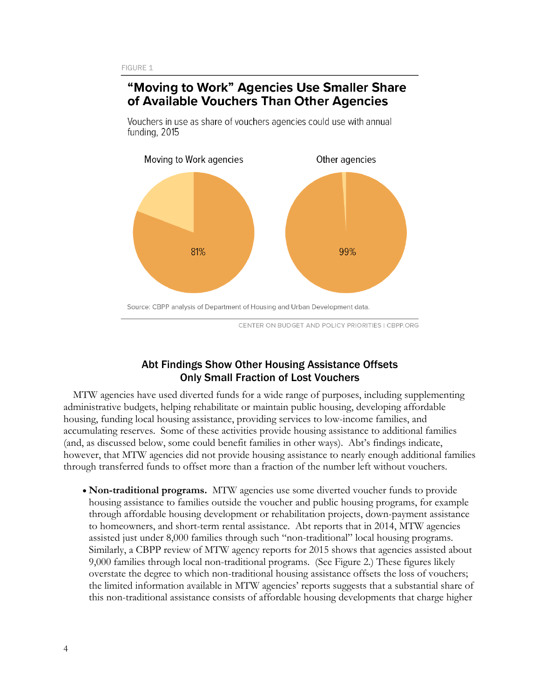# "Moving to Work" Agencies Use Smaller Share of Available Vouchers Than Other Agencies

Vouchers in use as share of vouchers agencies could use with annual funding, 2015



CENTER ON BUDGET AND POLICY PRIORITIES | CBPP.ORG

# Abt Findings Show Other Housing Assistance Offsets Only Small Fraction of Lost Vouchers

MTW agencies have used diverted funds for a wide range of purposes, including supplementing administrative budgets, helping rehabilitate or maintain public housing, developing affordable housing, funding local housing assistance, providing services to low-income families, and accumulating reserves. Some of these activities provide housing assistance to additional families (and, as discussed below, some could benefit families in other ways). Abt's findings indicate, however, that MTW agencies did not provide housing assistance to nearly enough additional families through transferred funds to offset more than a fraction of the number left without vouchers.

• **Non-traditional programs.** MTW agencies use some diverted voucher funds to provide housing assistance to families outside the voucher and public housing programs, for example through affordable housing development or rehabilitation projects, down-payment assistance to homeowners, and short-term rental assistance. Abt reports that in 2014, MTW agencies assisted just under 8,000 families through such "non-traditional" local housing programs. Similarly, a CBPP review of MTW agency reports for 2015 shows that agencies assisted about 9,000 families through local non-traditional programs. (See Figure 2.) These figures likely overstate the degree to which non-traditional housing assistance offsets the loss of vouchers; the limited information available in MTW agencies' reports suggests that a substantial share of this non-traditional assistance consists of affordable housing developments that charge higher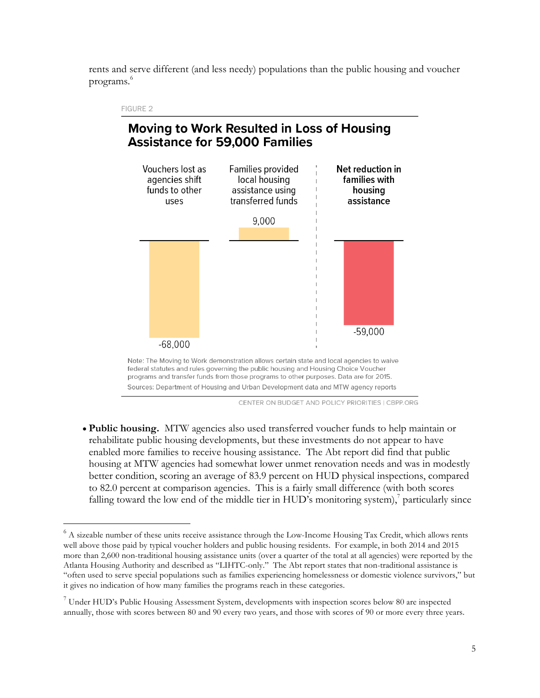rents and serve different (and less needy) populations than the public housing and voucher programs.6



• **Public housing.** MTW agencies also used transferred voucher funds to help maintain or rehabilitate public housing developments, but these investments do not appear to have enabled more families to receive housing assistance. The Abt report did find that public housing at MTW agencies had somewhat lower unmet renovation needs and was in modestly better condition, scoring an average of 83.9 percent on HUD physical inspections, compared to 82.0 percent at comparison agencies. This is a fairly small difference (with both scores falling toward the low end of the middle tier in HUD's monitoring system), $\frac{7}{7}$  particularly since

 $6$  A sizeable number of these units receive assistance through the Low-Income Housing Tax Credit, which allows rents well above those paid by typical voucher holders and public housing residents. For example, in both 2014 and 2015 more than 2,600 non-traditional housing assistance units (over a quarter of the total at all agencies) were reported by the Atlanta Housing Authority and described as "LIHTC-only." The Abt report states that non-traditional assistance is "often used to serve special populations such as families experiencing homelessness or domestic violence survivors," but it gives no indication of how many families the programs reach in these categories.

<sup>7</sup> Under HUD's Public Housing Assessment System, developments with inspection scores below 80 are inspected annually, those with scores between 80 and 90 every two years, and those with scores of 90 or more every three years.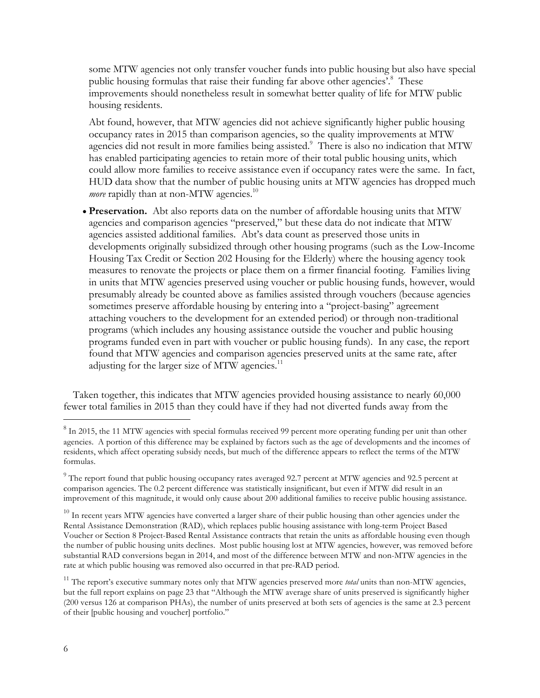some MTW agencies not only transfer voucher funds into public housing but also have special public housing formulas that raise their funding far above other agencies'.<sup>8</sup> These improvements should nonetheless result in somewhat better quality of life for MTW public housing residents.

Abt found, however, that MTW agencies did not achieve significantly higher public housing occupancy rates in 2015 than comparison agencies, so the quality improvements at MTW agencies did not result in more families being assisted.<sup>9</sup> There is also no indication that MTW has enabled participating agencies to retain more of their total public housing units, which could allow more families to receive assistance even if occupancy rates were the same. In fact, HUD data show that the number of public housing units at MTW agencies has dropped much *more* rapidly than at non-MTW agencies.<sup>10</sup>

• **Preservation.** Abt also reports data on the number of affordable housing units that MTW agencies and comparison agencies "preserved," but these data do not indicate that MTW agencies assisted additional families. Abt's data count as preserved those units in developments originally subsidized through other housing programs (such as the Low-Income Housing Tax Credit or Section 202 Housing for the Elderly) where the housing agency took measures to renovate the projects or place them on a firmer financial footing. Families living in units that MTW agencies preserved using voucher or public housing funds, however, would presumably already be counted above as families assisted through vouchers (because agencies sometimes preserve affordable housing by entering into a "project-basing" agreement attaching vouchers to the development for an extended period) or through non-traditional programs (which includes any housing assistance outside the voucher and public housing programs funded even in part with voucher or public housing funds). In any case, the report found that MTW agencies and comparison agencies preserved units at the same rate, after adjusting for the larger size of MTW agencies. $^{11}$ 

Taken together, this indicates that MTW agencies provided housing assistance to nearly 60,000 fewer total families in 2015 than they could have if they had not diverted funds away from the

<sup>&</sup>lt;sup>8</sup> In 2015, the 11 MTW agencies with special formulas received 99 percent more operating funding per unit than other agencies. A portion of this difference may be explained by factors such as the age of developments and the incomes of residents, which affect operating subsidy needs, but much of the difference appears to reflect the terms of the MTW formulas.

 $9$  The report found that public housing occupancy rates averaged 92.7 percent at MTW agencies and 92.5 percent at comparison agencies. The 0.2 percent difference was statistically insignificant, but even if MTW did result in an improvement of this magnitude, it would only cause about 200 additional families to receive public housing assistance.

 $10$  In recent years MTW agencies have converted a larger share of their public housing than other agencies under the Rental Assistance Demonstration (RAD), which replaces public housing assistance with long-term Project Based Voucher or Section 8 Project-Based Rental Assistance contracts that retain the units as affordable housing even though the number of public housing units declines. Most public housing lost at MTW agencies, however, was removed before substantial RAD conversions began in 2014, and most of the difference between MTW and non-MTW agencies in the rate at which public housing was removed also occurred in that pre-RAD period.

<sup>&</sup>lt;sup>11</sup> The report's executive summary notes only that MTW agencies preserved more *total* units than non-MTW agencies, but the full report explains on page 23 that "Although the MTW average share of units preserved is significantly higher (200 versus 126 at comparison PHAs), the number of units preserved at both sets of agencies is the same at 2.3 percent of their [public housing and voucher] portfolio."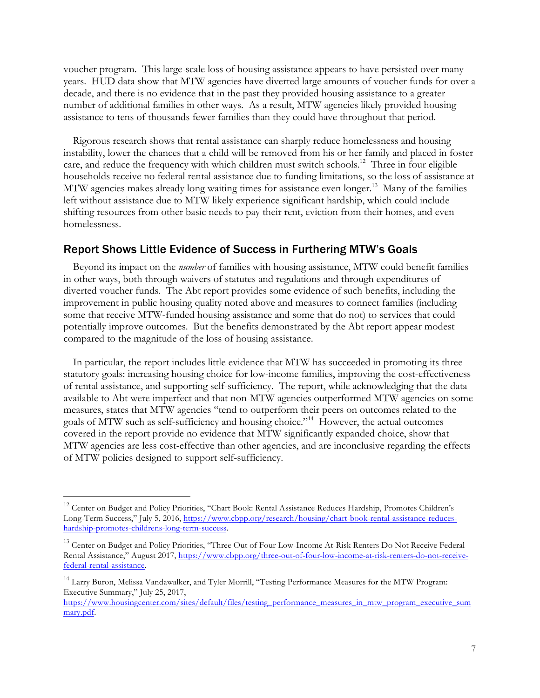voucher program. This large-scale loss of housing assistance appears to have persisted over many years. HUD data show that MTW agencies have diverted large amounts of voucher funds for over a decade, and there is no evidence that in the past they provided housing assistance to a greater number of additional families in other ways. As a result, MTW agencies likely provided housing assistance to tens of thousands fewer families than they could have throughout that period.

Rigorous research shows that rental assistance can sharply reduce homelessness and housing instability, lower the chances that a child will be removed from his or her family and placed in foster care, and reduce the frequency with which children must switch schools.<sup>12</sup> Three in four eligible households receive no federal rental assistance due to funding limitations, so the loss of assistance at MTW agencies makes already long waiting times for assistance even longer.<sup>13</sup> Many of the families left without assistance due to MTW likely experience significant hardship, which could include shifting resources from other basic needs to pay their rent, eviction from their homes, and even homelessness.

### Report Shows Little Evidence of Success in Furthering MTW's Goals

Beyond its impact on the *number* of families with housing assistance, MTW could benefit families in other ways, both through waivers of statutes and regulations and through expenditures of diverted voucher funds. The Abt report provides some evidence of such benefits, including the improvement in public housing quality noted above and measures to connect families (including some that receive MTW-funded housing assistance and some that do not) to services that could potentially improve outcomes. But the benefits demonstrated by the Abt report appear modest compared to the magnitude of the loss of housing assistance.

In particular, the report includes little evidence that MTW has succeeded in promoting its three statutory goals: increasing housing choice for low-income families, improving the cost-effectiveness of rental assistance, and supporting self-sufficiency. The report, while acknowledging that the data available to Abt were imperfect and that non-MTW agencies outperformed MTW agencies on some measures, states that MTW agencies "tend to outperform their peers on outcomes related to the goals of MTW such as self-sufficiency and housing choice."14 However, the actual outcomes covered in the report provide no evidence that MTW significantly expanded choice, show that MTW agencies are less cost-effective than other agencies, and are inconclusive regarding the effects of MTW policies designed to support self-sufficiency.

<sup>&</sup>lt;sup>12</sup> Center on Budget and Policy Priorities, "Chart Book: Rental Assistance Reduces Hardship, Promotes Children's Long-Term Success," July 5, 2016, https://www.cbpp.org/research/housing/chart-book-rental-assistance-reduceshardship-promotes-childrens-long-term-success.

<sup>&</sup>lt;sup>13</sup> Center on Budget and Policy Priorities, "Three Out of Four Low-Income At-Risk Renters Do Not Receive Federal Rental Assistance," August 2017, https://www.cbpp.org/three-out-of-four-low-income-at-risk-renters-do-not-receivefederal-rental-assistance.

<sup>&</sup>lt;sup>14</sup> Larry Buron, Melissa Vandawalker, and Tyler Morrill, "Testing Performance Measures for the MTW Program: Executive Summary," July 25, 2017,

https://www.housingcenter.com/sites/default/files/testing\_performance\_measures\_in\_mtw\_program\_executive\_sum mary.pdf.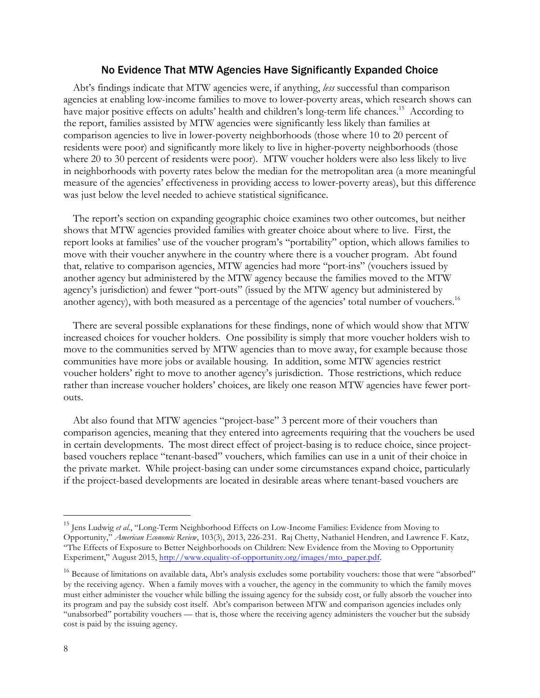#### No Evidence That MTW Agencies Have Significantly Expanded Choice

Abt's findings indicate that MTW agencies were, if anything, *less* successful than comparison agencies at enabling low-income families to move to lower-poverty areas, which research shows can have major positive effects on adults' health and children's long-term life chances.<sup>15</sup> According to the report, families assisted by MTW agencies were significantly less likely than families at comparison agencies to live in lower-poverty neighborhoods (those where 10 to 20 percent of residents were poor) and significantly more likely to live in higher-poverty neighborhoods (those where 20 to 30 percent of residents were poor). MTW voucher holders were also less likely to live in neighborhoods with poverty rates below the median for the metropolitan area (a more meaningful measure of the agencies' effectiveness in providing access to lower-poverty areas), but this difference was just below the level needed to achieve statistical significance.

The report's section on expanding geographic choice examines two other outcomes, but neither shows that MTW agencies provided families with greater choice about where to live. First, the report looks at families' use of the voucher program's "portability" option, which allows families to move with their voucher anywhere in the country where there is a voucher program. Abt found that, relative to comparison agencies, MTW agencies had more "port-ins" (vouchers issued by another agency but administered by the MTW agency because the families moved to the MTW agency's jurisdiction) and fewer "port-outs" (issued by the MTW agency but administered by another agency), with both measured as a percentage of the agencies' total number of vouchers.<sup>16</sup>

There are several possible explanations for these findings, none of which would show that MTW increased choices for voucher holders. One possibility is simply that more voucher holders wish to move to the communities served by MTW agencies than to move away, for example because those communities have more jobs or available housing. In addition, some MTW agencies restrict voucher holders' right to move to another agency's jurisdiction. Those restrictions, which reduce rather than increase voucher holders' choices, are likely one reason MTW agencies have fewer portouts.

Abt also found that MTW agencies "project-base" 3 percent more of their vouchers than comparison agencies, meaning that they entered into agreements requiring that the vouchers be used in certain developments. The most direct effect of project-basing is to reduce choice, since projectbased vouchers replace "tenant-based" vouchers, which families can use in a unit of their choice in the private market. While project-basing can under some circumstances expand choice, particularly if the project-based developments are located in desirable areas where tenant-based vouchers are

<sup>&</sup>lt;sup>15</sup> Jens Ludwig et al., "Long-Term Neighborhood Effects on Low-Income Families: Evidence from Moving to Opportunity," *American Economic Review*, 103(3), 2013, 226-231. Raj Chetty, Nathaniel Hendren, and Lawrence F. Katz, "The Effects of Exposure to Better Neighborhoods on Children: New Evidence from the Moving to Opportunity Experiment," August 2015, http://www.equality-of-opportunity.org/images/mto\_paper.pdf.

 $16$  Because of limitations on available data, Abt's analysis excludes some portability vouchers: those that were "absorbed" by the receiving agency. When a family moves with a voucher, the agency in the community to which the family moves must either administer the voucher while billing the issuing agency for the subsidy cost, or fully absorb the voucher into its program and pay the subsidy cost itself. Abt's comparison between MTW and comparison agencies includes only "unabsorbed" portability vouchers — that is, those where the receiving agency administers the voucher but the subsidy cost is paid by the issuing agency.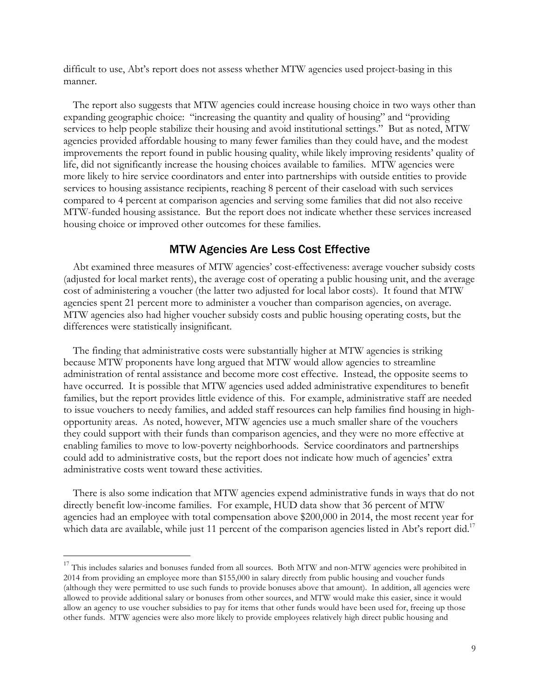difficult to use, Abt's report does not assess whether MTW agencies used project-basing in this manner.

The report also suggests that MTW agencies could increase housing choice in two ways other than expanding geographic choice: "increasing the quantity and quality of housing" and "providing services to help people stabilize their housing and avoid institutional settings." But as noted, MTW agencies provided affordable housing to many fewer families than they could have, and the modest improvements the report found in public housing quality, while likely improving residents' quality of life, did not significantly increase the housing choices available to families. MTW agencies were more likely to hire service coordinators and enter into partnerships with outside entities to provide services to housing assistance recipients, reaching 8 percent of their caseload with such services compared to 4 percent at comparison agencies and serving some families that did not also receive MTW-funded housing assistance. But the report does not indicate whether these services increased housing choice or improved other outcomes for these families.

#### MTW Agencies Are Less Cost Effective

Abt examined three measures of MTW agencies' cost-effectiveness: average voucher subsidy costs (adjusted for local market rents), the average cost of operating a public housing unit, and the average cost of administering a voucher (the latter two adjusted for local labor costs). It found that MTW agencies spent 21 percent more to administer a voucher than comparison agencies, on average. MTW agencies also had higher voucher subsidy costs and public housing operating costs, but the differences were statistically insignificant.

The finding that administrative costs were substantially higher at MTW agencies is striking because MTW proponents have long argued that MTW would allow agencies to streamline administration of rental assistance and become more cost effective. Instead, the opposite seems to have occurred. It is possible that MTW agencies used added administrative expenditures to benefit families, but the report provides little evidence of this. For example, administrative staff are needed to issue vouchers to needy families, and added staff resources can help families find housing in highopportunity areas. As noted, however, MTW agencies use a much smaller share of the vouchers they could support with their funds than comparison agencies, and they were no more effective at enabling families to move to low-poverty neighborhoods. Service coordinators and partnerships could add to administrative costs, but the report does not indicate how much of agencies' extra administrative costs went toward these activities.

There is also some indication that MTW agencies expend administrative funds in ways that do not directly benefit low-income families. For example, HUD data show that 36 percent of MTW agencies had an employee with total compensation above \$200,000 in 2014, the most recent year for which data are available, while just 11 percent of the comparison agencies listed in Abt's report did.<sup>17</sup>

<sup>&</sup>lt;sup>17</sup> This includes salaries and bonuses funded from all sources. Both MTW and non-MTW agencies were prohibited in 2014 from providing an employee more than \$155,000 in salary directly from public housing and voucher funds (although they were permitted to use such funds to provide bonuses above that amount). In addition, all agencies were allowed to provide additional salary or bonuses from other sources, and MTW would make this easier, since it would allow an agency to use voucher subsidies to pay for items that other funds would have been used for, freeing up those other funds. MTW agencies were also more likely to provide employees relatively high direct public housing and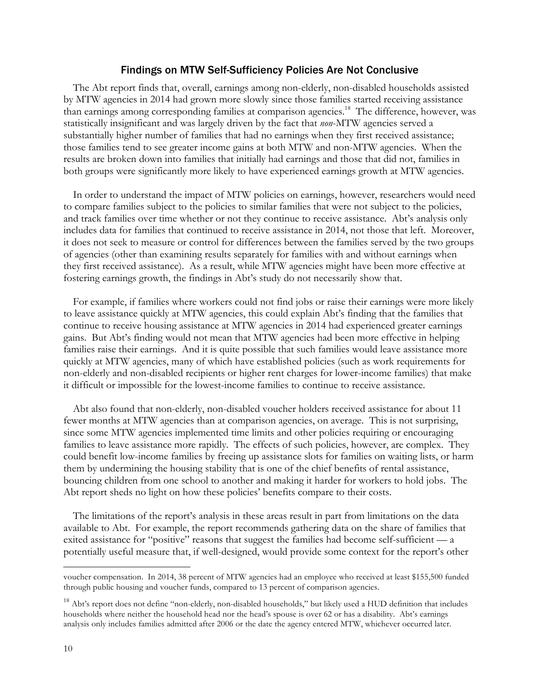#### Findings on MTW Self-Sufficiency Policies Are Not Conclusive

The Abt report finds that, overall, earnings among non-elderly, non-disabled households assisted by MTW agencies in 2014 had grown more slowly since those families started receiving assistance than earnings among corresponding families at comparison agencies.<sup>18</sup> The difference, however, was statistically insignificant and was largely driven by the fact that *non*-MTW agencies served a substantially higher number of families that had no earnings when they first received assistance; those families tend to see greater income gains at both MTW and non-MTW agencies. When the results are broken down into families that initially had earnings and those that did not, families in both groups were significantly more likely to have experienced earnings growth at MTW agencies.

In order to understand the impact of MTW policies on earnings, however, researchers would need to compare families subject to the policies to similar families that were not subject to the policies, and track families over time whether or not they continue to receive assistance. Abt's analysis only includes data for families that continued to receive assistance in 2014, not those that left. Moreover, it does not seek to measure or control for differences between the families served by the two groups of agencies (other than examining results separately for families with and without earnings when they first received assistance). As a result, while MTW agencies might have been more effective at fostering earnings growth, the findings in Abt's study do not necessarily show that.

For example, if families where workers could not find jobs or raise their earnings were more likely to leave assistance quickly at MTW agencies, this could explain Abt's finding that the families that continue to receive housing assistance at MTW agencies in 2014 had experienced greater earnings gains. But Abt's finding would not mean that MTW agencies had been more effective in helping families raise their earnings. And it is quite possible that such families would leave assistance more quickly at MTW agencies, many of which have established policies (such as work requirements for non-elderly and non-disabled recipients or higher rent charges for lower-income families) that make it difficult or impossible for the lowest-income families to continue to receive assistance.

Abt also found that non-elderly, non-disabled voucher holders received assistance for about 11 fewer months at MTW agencies than at comparison agencies, on average. This is not surprising, since some MTW agencies implemented time limits and other policies requiring or encouraging families to leave assistance more rapidly. The effects of such policies, however, are complex. They could benefit low-income families by freeing up assistance slots for families on waiting lists, or harm them by undermining the housing stability that is one of the chief benefits of rental assistance, bouncing children from one school to another and making it harder for workers to hold jobs. The Abt report sheds no light on how these policies' benefits compare to their costs.

The limitations of the report's analysis in these areas result in part from limitations on the data available to Abt. For example, the report recommends gathering data on the share of families that exited assistance for "positive" reasons that suggest the families had become self-sufficient — a potentially useful measure that, if well-designed, would provide some context for the report's other

voucher compensation. In 2014, 38 percent of MTW agencies had an employee who received at least \$155,500 funded through public housing and voucher funds, compared to 13 percent of comparison agencies.

 $18$  Abt's report does not define "non-elderly, non-disabled households," but likely used a HUD definition that includes households where neither the household head nor the head's spouse is over 62 or has a disability. Abt's earnings analysis only includes families admitted after 2006 or the date the agency entered MTW, whichever occurred later.